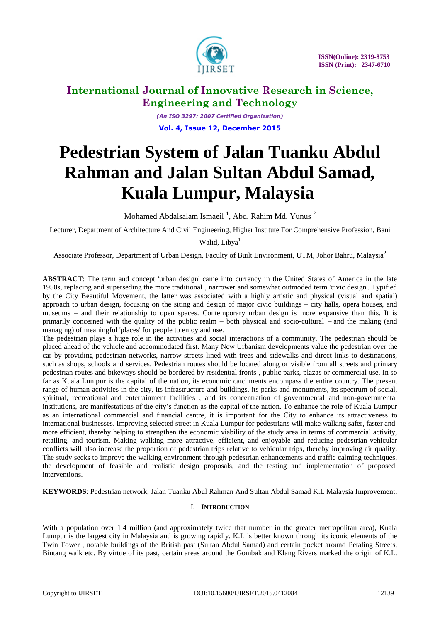

*(An ISO 3297: 2007 Certified Organization)* **Vol. 4, Issue 12, December 2015**

# **Pedestrian System of Jalan Tuanku Abdul Rahman and Jalan Sultan Abdul Samad, Kuala Lumpur, Malaysia**

Mohamed Abdalsalam Ismaeil<sup>1</sup>, Abd. Rahim Md. Yunus<sup>2</sup>

Lecturer, Department of Architecture And Civil Engineering, Higher Institute For Comprehensive Profession, Bani

Walid, Libya<sup>1</sup>

Associate Professor, Department of Urban Design, Faculty of Built Environment, UTM, Johor Bahru, Malaysia<sup>2</sup>

**ABSTRACT**: The term and concept 'urban design' came into currency in the United States of America in the late 1950s, replacing and superseding the more traditional , narrower and somewhat outmoded term 'civic design'. Typified by the City Beautiful Movement, the latter was associated with a highly artistic and physical (visual and spatial) approach to urban design, focusing on the siting and design of major civic buildings – city halls, opera houses, and museums – and their relationship to open spaces. Contemporary urban design is more expansive than this. It is primarily concerned with the quality of the public realm – both physical and socio-cultural – and the making (and managing) of meaningful 'places' for people to enjoy and use.

The pedestrian plays a huge role in the activities and social interactions of a community. The pedestrian should be placed ahead of the vehicle and accommodated first. Many New Urbanism developments value the pedestrian over the car by providing pedestrian networks, narrow streets lined with trees and sidewalks and direct links to destinations, such as shops, schools and services. Pedestrian routes should be located along or visible from all streets and primary pedestrian routes and bikeways should be bordered by residential fronts , public parks, plazas or commercial use. In so far as Kuala Lumpur is the capital of the nation, its economic catchments encompass the entire country. The present range of human activities in the city, its infrastructure and buildings, its parks and monuments, its spectrum of social, spiritual, recreational and entertainment facilities , and its concentration of governmental and non-governmental institutions, are manifestations of the city's function as the capital of the nation. To enhance the role of Kuala Lumpur as an international commercial and financial centre, it is important for the City to enhance its attractiveness to international businesses. Improving selected street in Kuala Lumpur for pedestrians will make walking safer, faster and more efficient, thereby helping to strengthen the economic viability of the study area in terms of commercial activity, retailing, and tourism. Making walking more attractive, efficient, and enjoyable and reducing pedestrian-vehicular conflicts will also increase the proportion of pedestrian trips relative to vehicular trips, thereby improving air quality. The study seeks to improve the walking environment through pedestrian enhancements and traffic calming techniques, the development of feasible and realistic design proposals, and the testing and implementation of proposed interventions.

**KEYWORDS**: Pedestrian network, Jalan Tuanku Abul Rahman And Sultan Abdul Samad K.L Malaysia Improvement.

### I. **INTRODUCTION**

With a population over 1.4 million (and approximately twice that number in the greater metropolitan area), Kuala Lumpur is the largest city in Malaysia and is growing rapidly. K.L is better known through its iconic elements of the Twin Tower , notable buildings of the British past (Sultan Abdul Samad) and certain pocket around Petaling Streets, Bintang walk etc. By virtue of its past, certain areas around the Gombak and Klang Rivers marked the origin of K.L.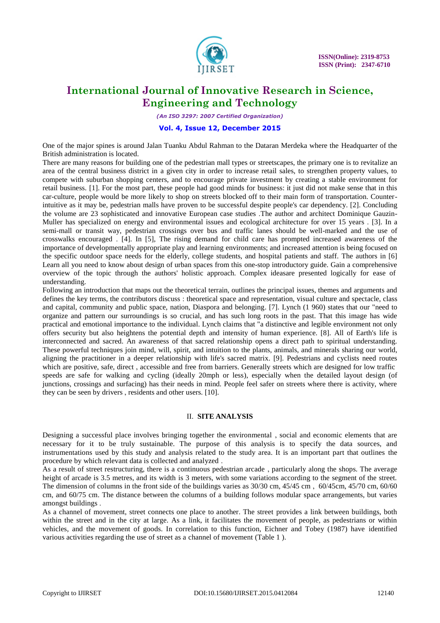

*(An ISO 3297: 2007 Certified Organization)*

### **Vol. 4, Issue 12, December 2015**

One of the major spines is around Jalan Tuanku Abdul Rahman to the Dataran Merdeka where the Headquarter of the British administration is located.

There are many reasons for building one of the pedestrian mall types or streetscapes, the primary one is to revitalize an area of the central business district in a given city in order to increase retail sales, to strengthen property values, to compete with suburban shopping centers, and to encourage private investment by creating a stable environment for retail business. [1]. For the most part, these people had good minds for business: it just did not make sense that in this car-culture, people would be more likely to shop on streets blocked off to their main form of transportation. Counterintuitive as it may be, pedestrian malls have proven to be successful despite people's car dependency. [2]. Concluding the volume are 23 sophisticated and innovative European case studies .The author and architect Dominique Gauzin-Muller has specialized on energy and environmental issues and ecological architecture for over 15 years . [3]. In a semi-mall or transit way, pedestrian crossings over bus and traffic lanes should be well-marked and the use of crosswalks encouraged . [4]. In [5], The rising demand for child care has prompted increased awareness of the importance of developmentally appropriate play and learning environments; and increased attention is being focused on the specific outdoor space needs for the elderly, college students, and hospital patients and staff. The authors in [6] Learn all you need to know about design of urban spaces from this one-stop introductory guide. Gain a comprehensive overview of the topic through the authors' holistic approach. Complex ideasare presented logically for ease of understanding.

Following an introduction that maps out the theoretical terrain, outlines the principal issues, themes and arguments and defines the key terms, the contributors discuss : theoretical space and representation, visual culture and spectacle, class and capital, community and public space, nation, Diaspora and belonging. [7]. Lynch (1 960) states that our "need to organize and pattern our surroundings is so crucial, and has such long roots in the past. That this image has wide practical and emotional importance to the individual. Lynch claims that "a distinctive and legible environment not only offers security but also heightens the potential depth and intensity of human experience. [8]. All of Earth's life is interconnected and sacred. An awareness of that sacred relationship opens a direct path to spiritual understanding. These powerful techniques join mind, will, spirit, and intuition to the plants, animals, and minerals sharing our world, aligning the practitioner in a deeper relationship with life's sacred matrix. [9]. Pedestrians and cyclists need routes which are positive, safe, direct , accessible and free from barriers. Generally streets which are designed for low traffic speeds are safe for walking and cycling (ideally 20mph or less), especially when the detailed layout design (of junctions, crossings and surfacing) has their needs in mind. People feel safer on streets where there is activity, where they can be seen by drivers , residents and other users. [10].

### II. **SITE ANALYSIS**

Designing a successful place involves bringing together the environmental , social and economic elements that are necessary for it to be truly sustainable. The purpose of this analysis is to specify the data sources, and instrumentations used by this study and analysis related to the study area. It is an important part that outlines the procedure by which relevant data is collected and analyzed .

As a result of street restructuring, there is a continuous pedestrian arcade , particularly along the shops. The average height of arcade is 3.5 metres, and its width is 3 meters, with some variations according to the segment of the street. The dimension of columns in the front side of the buildings varies as 30/30 cm, 45/45 cm , 60/45cm, 45/70 cm, 60/60 cm, and 60/75 cm. The distance between the columns of a building follows modular space arrangements, but varies amongst buildings .

As a channel of movement, street connects one place to another. The street provides a link between buildings, both within the street and in the city at large. As a link, it facilitates the movement of people, as pedestrians or within vehicles, and the movement of goods. In correlation to this function, Eichner and Tobey (1987) have identified various activities regarding the use of street as a channel of movement (Table 1 ).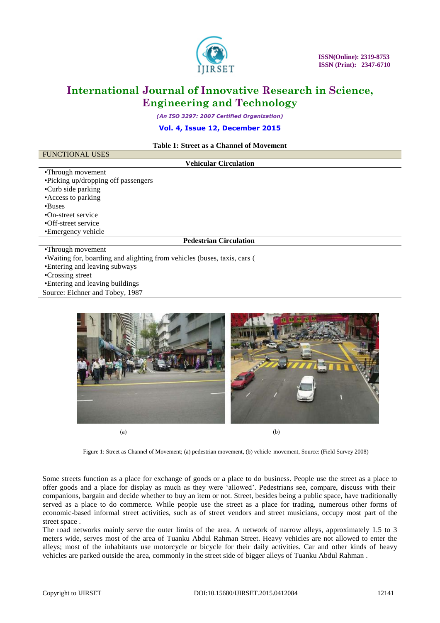

*(An ISO 3297: 2007 Certified Organization)*

**Vol. 4, Issue 12, December 2015**

**Table 1: Street as a Channel of Movement**

| Table 1: Street as a Unannel of Movement                                  |
|---------------------------------------------------------------------------|
| <b>FUNCTIONAL USES</b>                                                    |
| <b>Vehicular Circulation</b>                                              |
| •Through movement                                                         |
| •Picking up/dropping off passengers                                       |
| •Curb side parking                                                        |
| • Access to parking                                                       |
| •Buses                                                                    |
| •On-street service                                                        |
| •Off-street service                                                       |
| •Emergency vehicle                                                        |
| <b>Pedestrian Circulation</b>                                             |
| •Through movement                                                         |
| • Waiting for, boarding and alighting from vehicles (buses, taxis, cars ( |
| • Entering and looving outward                                            |

•Entering and leaving subways

•Crossing street

•Entering and leaving buildings

Source: Eichner and Tobey, 1987



Figure 1: Street as Channel of Movement; (a) pedestrian movement, (b) vehicle movement, Source: (Field Survey 2008)

Some streets function as a place for exchange of goods or a place to do business. People use the street as a place to offer goods and a place for display as much as they were 'allowed'. Pedestrians see, compare, discuss with their companions, bargain and decide whether to buy an item or not. Street, besides being a public space, have traditionally served as a place to do commerce. While people use the street as a place for trading, numerous other forms of economic-based informal street activities, such as of street vendors and street musicians, occupy most part of the street space .

The road networks mainly serve the outer limits of the area. A network of narrow alleys, approximately 1.5 to 3 meters wide, serves most of the area of Tuanku Abdul Rahman Street. Heavy vehicles are not allowed to enter the alleys; most of the inhabitants use motorcycle or bicycle for their daily activities. Car and other kinds of heavy vehicles are parked outside the area, commonly in the street side of bigger alleys of Tuanku Abdul Rahman .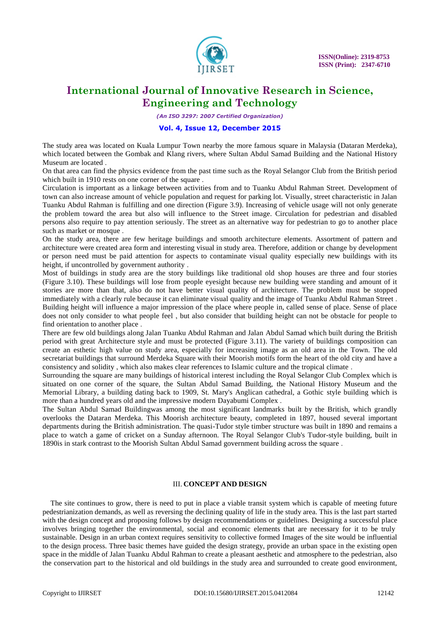

*(An ISO 3297: 2007 Certified Organization)*

### **Vol. 4, Issue 12, December 2015**

The study area was located on Kuala Lumpur Town nearby the more famous square in Malaysia (Dataran Merdeka), which located between the Gombak and Klang rivers, where Sultan Abdul Samad Building and the National History Museum are located

On that area can find the physics evidence from the past time such as the Royal Selangor Club from the British period which built in 1910 rests on one corner of the square .

Circulation is important as a linkage between activities from and to Tuanku Abdul Rahman Street. Development of town can also increase amount of vehicle population and request for parking lot. Visually, street characteristic in Jalan Tuanku Abdul Rahman is fulfilling and one direction (Figure 3.9). Increasing of vehicle usage will not only generate the problem toward the area but also will influence to the Street image. Circulation for pedestrian and disabled persons also require to pay attention seriously. The street as an alternative way for pedestrian to go to another place such as market or mosque .

On the study area, there are few heritage buildings and smooth architecture elements. Assortment of pattern and architecture were created area form and interesting visual in study area. Therefore, addition or change by development or person need must be paid attention for aspects to contaminate visual quality especially new buildings with its height, if uncontrolled by government authority .

Most of buildings in study area are the story buildings like traditional old shop houses are three and four stories (Figure 3.10). These buildings will lose from people eyesight because new building were standing and amount of it stories are more than that, also do not have better visual quality of architecture. The problem must be stopped immediately with a clearly rule because it can eliminate visual quality and the image of Tuanku Abdul Rahman Street . Building height will influence a major impression of the place where people in, called sense of place. Sense of place does not only consider to what people feel , but also consider that building height can not be obstacle for people to find orientation to another place .

There are few old buildings along Jalan Tuanku Abdul Rahman and Jalan Abdul Samad which built during the British period with great Architecture style and must be protected (Figure 3.11). The variety of buildings composition can create an esthetic high value on study area, especially for increasing image as an old area in the Town. The old secretariat buildings that surround Merdeka Square with their Moorish motifs form the heart of the old city and have a consistency and solidity , which also makes clear references to Islamic culture and the tropical climate .

Surrounding the square are many buildings of historical interest including the Royal Selangor Club Complex which is situated on one corner of the square, the Sultan Abdul Samad Building, the National History Museum and the Memorial Library, a building dating back to 1909, St. Mary's Anglican cathedral, a Gothic style building which is more than a hundred years old and the impressive modern Dayabumi Complex .

The Sultan Abdul Samad Buildingwas among the most significant landmarks built by the British, which grandly overlooks the Dataran Merdeka. This Moorish architecture beauty, completed in 1897, housed several important departments during the British administration. The quasi-Tudor style timber structure was built in 1890 and remains a place to watch a game of cricket on a Sunday afternoon. The Royal Selangor Club's Tudor-style building, built in 1890is in stark contrast to the Moorish Sultan Abdul Samad government building across the square .

### III. **CONCEPT AND DESIGN**

The site continues to grow, there is need to put in place a viable transit system which is capable of meeting future pedestrianization demands, as well as reversing the declining quality of life in the study area. This is the last part started with the design concept and proposing follows by design recommendations or guidelines. Designing a successful place involves bringing together the environmental, social and economic elements that are necessary for it to be truly sustainable. Design in an urban context requires sensitivity to collective formed Images of the site would be influential to the design process. Three basic themes have guided the design strategy, provide an urban space in the existing open space in the middle of Jalan Tuanku Abdul Rahman to create a pleasant aesthetic and atmosphere to the pedestrian, also the conservation part to the historical and old buildings in the study area and surrounded to create good environment,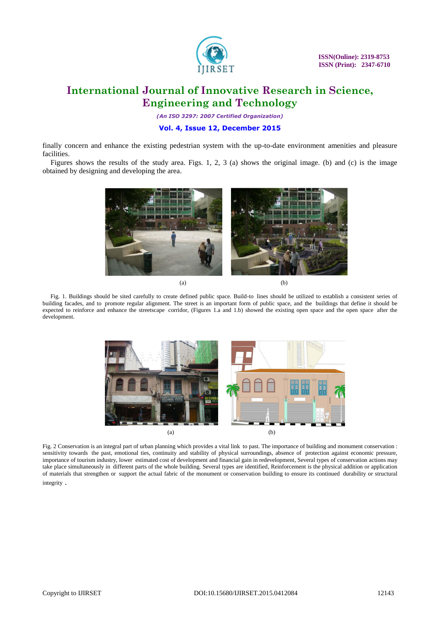

*(An ISO 3297: 2007 Certified Organization)*

### **Vol. 4, Issue 12, December 2015**

finally concern and enhance the existing pedestrian system with the up-to-date environment amenities and pleasure facilities.

Figures shows the results of the study area. Figs. 1, 2, 3 (a) shows the original image. (b) and (c) is the image obtained by designing and developing the area.



Fig. 1. Buildings should be sited carefully to create defined public space. Build-to lines should be utilized to establish a consistent series of building facades, and to promote regular alignment. The street is an important form of public space, and the buildings that define it should be expected to reinforce and enhance the streetscape corridor, (Figures 1.a and 1.b) showed the existing open space and the open space after the development.



Fig. 2 Conservation is an integral part of urban planning which provides a vital link to past. The importance of building and monument conservation : sensitivity towards the past, emotional ties, continuity and stability of physical surroundings, absence of protection against economic pressure, importance of tourism industry, lower estimated cost of development and financial gain in redevelopment, Several types of conservation actions may take place simultaneously in different parts of the whole building. Several types are identified, Reinforcement is the physical addition or application of materials that strengthen or support the actual fabric of the monument or conservation building to ensure its continued durability or structural integrity .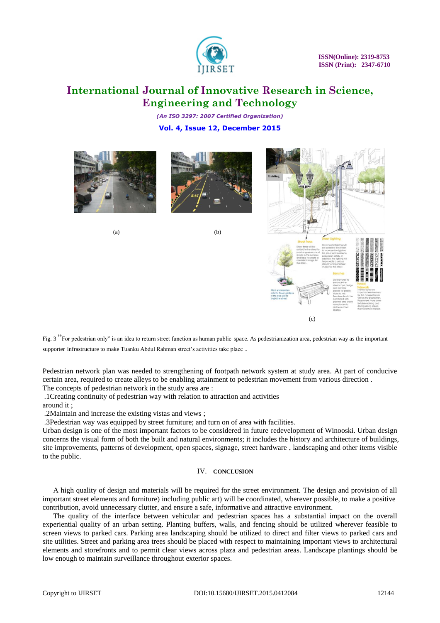

*(An ISO 3297: 2007 Certified Organization)* **Vol. 4, Issue 12, December 2015**





 $(a)$  (b)



Fig. 3<sup>"</sup>For pedestrian only" is an idea to return street function as human public space. As pedestrianization area, pedestrian way as the important supporter infrastructure to make Tuanku Abdul Rahman street's activities take place .

Pedestrian network plan was needed to strengthening of footpath network system at study area. At part of conducive certain area, required to create alleys to be enabling attainment to pedestrian movement from various direction . The concepts of pedestrian network in the study area are :

.1Creating continuity of pedestrian way with relation to attraction and activities

around it ;

.2Maintain and increase the existing vistas and views ;

.3Pedestrian way was equipped by street furniture; and turn on of area with facilities.

Urban design is one of the most important factors to be considered in future redevelopment of Winooski. Urban design concerns the visual form of both the built and natural environments; it includes the history and architecture of buildings, site improvements, patterns of development, open spaces, signage, street hardware , landscaping and other items visible to the public.

#### IV. **CONCLUSION**

A high quality of design and materials will be required for the street environment. The design and provision of all important street elements and furniture) including public art) will be coordinated, wherever possible, to make a positive contribution, avoid unnecessary clutter, and ensure a safe, informative and attractive environment.

The quality of the interface between vehicular and pedestrian spaces has a substantial impact on the overall experiential quality of an urban setting. Planting buffers, walls, and fencing should be utilized wherever feasible to screen views to parked cars. Parking area landscaping should be utilized to direct and filter views to parked cars and site utilities. Street and parking area trees should be placed with respect to maintaining important views to architectural elements and storefronts and to permit clear views across plaza and pedestrian areas. Landscape plantings should be low enough to maintain surveillance throughout exterior spaces.